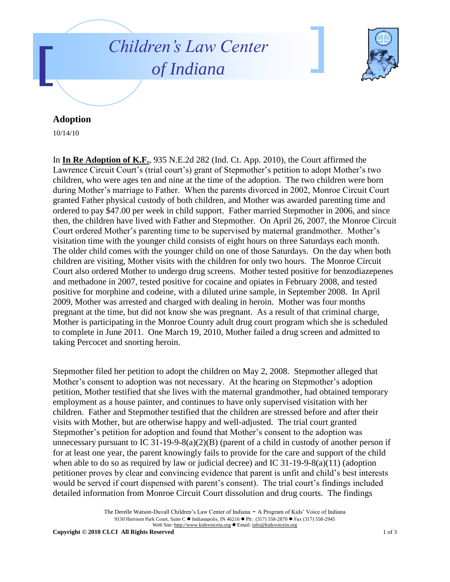



## **Adoption**

10/14/10

In **In Re Adoption of K.F.**, 935 N.E.2d 282 (Ind. Ct. App. 2010), the Court affirmed the Lawrence Circuit Court's (trial court's) grant of Stepmother's petition to adopt Mother's two children, who were ages ten and nine at the time of the adoption. The two children were born during Mother's marriage to Father. When the parents divorced in 2002, Monroe Circuit Court granted Father physical custody of both children, and Mother was awarded parenting time and ordered to pay \$47.00 per week in child support. Father married Stepmother in 2006, and since then, the children have lived with Father and Stepmother. On April 26, 2007, the Monroe Circuit Court ordered Mother's parenting time to be supervised by maternal grandmother. Mother's visitation time with the younger child consists of eight hours on three Saturdays each month. The older child comes with the younger child on one of those Saturdays. On the day when both children are visiting, Mother visits with the children for only two hours. The Monroe Circuit Court also ordered Mother to undergo drug screens. Mother tested positive for benzodiazepenes and methadone in 2007, tested positive for cocaine and opiates in February 2008, and tested positive for morphine and codeine, with a diluted urine sample, in September 2008. In April 2009, Mother was arrested and charged with dealing in heroin. Mother was four months pregnant at the time, but did not know she was pregnant. As a result of that criminal charge, Mother is participating in the Monroe County adult drug court program which she is scheduled to complete in June 2011. One March 19, 2010, Mother failed a drug screen and admitted to taking Percocet and snorting heroin.

Stepmother filed her petition to adopt the children on May 2, 2008. Stepmother alleged that Mother's consent to adoption was not necessary. At the hearing on Stepmother's adoption petition, Mother testified that she lives with the maternal grandmother, had obtained temporary employment as a house painter, and continues to have only supervised visitation with her children. Father and Stepmother testified that the children are stressed before and after their visits with Mother, but are otherwise happy and well-adjusted. The trial court granted Stepmother's petition for adoption and found that Mother's consent to the adoption was unnecessary pursuant to IC 31-19-9-8(a)(2)(B) (parent of a child in custody of another person if for at least one year, the parent knowingly fails to provide for the care and support of the child when able to do so as required by law or judicial decree) and IC  $31-19-9-8(a)(11)$  (adoption petitioner proves by clear and convincing evidence that parent is unfit and child's best interests would be served if court dispensed with parent's consent). The trial court's findings included detailed information from Monroe Circuit Court dissolution and drug courts. The findings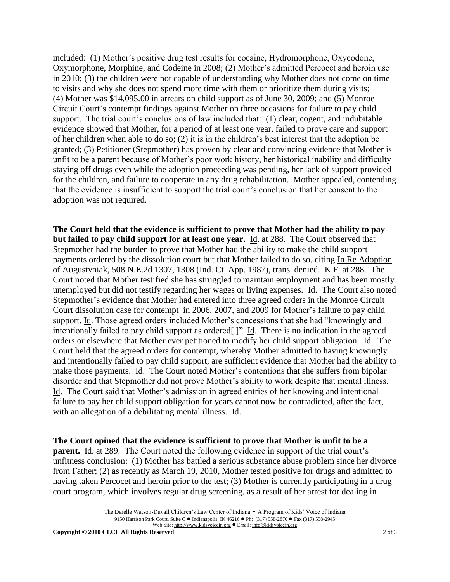included: (1) Mother's positive drug test results for cocaine, Hydromorphone, Oxycodone, Oxymorphone, Morphine, and Codeine in 2008; (2) Mother's admitted Percocet and heroin use in 2010; (3) the children were not capable of understanding why Mother does not come on time to visits and why she does not spend more time with them or prioritize them during visits; (4) Mother was \$14,095.00 in arrears on child support as of June 30, 2009; and (5) Monroe Circuit Court's contempt findings against Mother on three occasions for failure to pay child support. The trial court's conclusions of law included that: (1) clear, cogent, and indubitable evidence showed that Mother, for a period of at least one year, failed to prove care and support of her children when able to do so; (2) it is in the children's best interest that the adoption be granted; (3) Petitioner (Stepmother) has proven by clear and convincing evidence that Mother is unfit to be a parent because of Mother's poor work history, her historical inability and difficulty staying off drugs even while the adoption proceeding was pending, her lack of support provided for the children, and failure to cooperate in any drug rehabilitation. Mother appealed, contending that the evidence is insufficient to support the trial court's conclusion that her consent to the adoption was not required.

**The Court held that the evidence is sufficient to prove that Mother had the ability to pay but failed to pay child support for at least one year.** Id. at 288. The Court observed that Stepmother had the burden to prove that Mother had the ability to make the child support payments ordered by the dissolution court but that Mother failed to do so, citing In Re Adoption of Augustyniak, 508 N.E.2d 1307, 1308 (Ind. Ct. App. 1987), trans. denied. K.F. at 288. The Court noted that Mother testified she has struggled to maintain employment and has been mostly unemployed but did not testify regarding her wages or living expenses. Id. The Court also noted Stepmother's evidence that Mother had entered into three agreed orders in the Monroe Circuit Court dissolution case for contempt in 2006, 2007, and 2009 for Mother's failure to pay child support. Id. Those agreed orders included Mother's concessions that she had "knowingly and intentionally failed to pay child support as ordered[.]" Id. There is no indication in the agreed orders or elsewhere that Mother ever petitioned to modify her child support obligation. Id. The Court held that the agreed orders for contempt, whereby Mother admitted to having knowingly and intentionally failed to pay child support, are sufficient evidence that Mother had the ability to make those payments. Id. The Court noted Mother's contentions that she suffers from bipolar disorder and that Stepmother did not prove Mother's ability to work despite that mental illness. Id. The Court said that Mother's admission in agreed entries of her knowing and intentional failure to pay her child support obligation for years cannot now be contradicted, after the fact, with an allegation of a debilitating mental illness. Id.

**The Court opined that the evidence is sufficient to prove that Mother is unfit to be a parent.** Id. at 289. The Court noted the following evidence in support of the trial court's unfitness conclusion: (1) Mother has battled a serious substance abuse problem since her divorce from Father; (2) as recently as March 19, 2010, Mother tested positive for drugs and admitted to having taken Percocet and heroin prior to the test; (3) Mother is currently participating in a drug court program, which involves regular drug screening, as a result of her arrest for dealing in

The Derelle Watson-Duvall Children's Law Center of Indiana - A Program of Kids' Voice of Indiana 9150 Harrison Park Court, Suite C · Indianapolis, IN 46216 · Ph: (317) 558-2870 · Fax (317) 558-2945 Web Site: http://www.kidsvoicein.org · Email: info@kidsvoicein.org